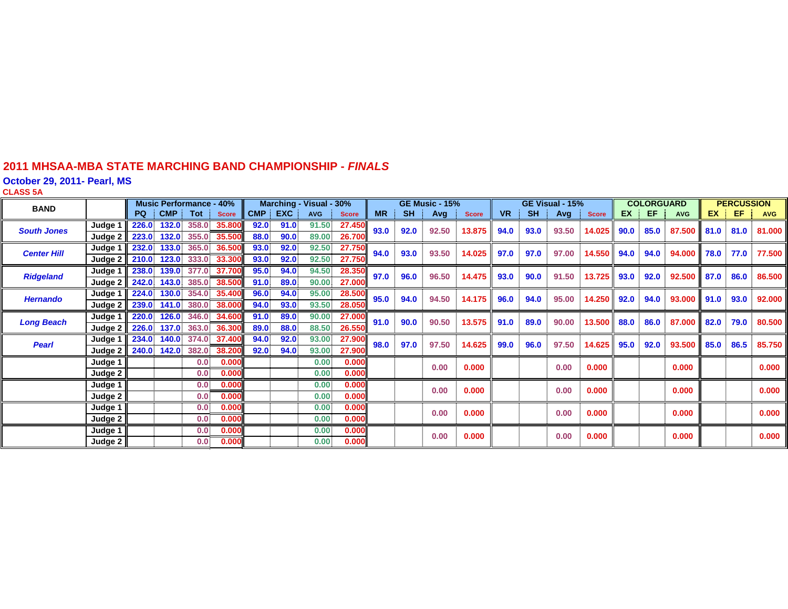#### **2011 MHSAA-MBA STATE MARCHING BAND CHAMPIONSHIP -** *FINAL S*

**October 29, 2011- Pearl, MS**

**CLASS 5 A**

| <b>BAND</b>        |         | <b>Music Performance - 40%</b> |       | Marching - Visual - 30% |                          |      |         | <b>GE Music - 15%</b> |              |           | GE Visual - 15% |       |              | <b>COLORGUARD</b> |              |       | <b>PERCUSSION</b> |           |      |            |      |                   |            |
|--------------------|---------|--------------------------------|-------|-------------------------|--------------------------|------|---------|-----------------------|--------------|-----------|-----------------|-------|--------------|-------------------|--------------|-------|-------------------|-----------|------|------------|------|-------------------|------------|
|                    |         |                                |       | PQ CMP Tot              | <b>Score</b>             |      | CMP EXC | <b>AVG</b>            | <b>Score</b> | <b>MR</b> | <b>SH</b>       | Avg   | <b>Score</b> | <b>VR</b>         | <b>SH</b>    | Avg   | <b>Score</b>      | <b>EX</b> | EF.  | <b>AVG</b> |      | $EX \parallel EF$ | <b>AVG</b> |
| <b>South Jones</b> | Judge 1 | 226.0                          |       |                         | 132.0 358.0 35.800       | 92.0 | 91.0    | 91.50                 | 27.450       | 93.0      | 92.0            | 92.50 | 13.875       | 94.0              | 93.0         | 93.50 | 14.025            | 90.0      | 85.0 | 87.500     | 81.0 | 81.0              | 81.000     |
|                    | Judge 2 |                                |       |                         | 223.0 132.0 355.0 35.500 | 88.0 | 90.0    | 89.00                 | 26.700       |           |                 |       |              |                   |              |       |                   |           |      |            |      |                   |            |
| <b>Center Hill</b> | Judge 1 | 232.0                          | 133.0 | 365.0                   | 36.500                   | 93.0 | 92.0    | 92.50                 | 27.750       | 94.0      | 93.0            | 93.50 | 14.025       | 97.0              | 97.0         | 97.00 | 14.550            | 94.0      | 94.0 | 94.000     | 78.0 | 77.0              | 77.500 l   |
|                    | Judge 2 |                                |       |                         | 210.0 123.0 333.0 33.300 | 93.0 | 92.0    | 92.50                 | 27.750       |           |                 |       |              |                   |              |       |                   |           |      |            |      |                   |            |
| <b>Ridgeland</b>   | Judge 1 |                                |       |                         | 238.0 139.0 377.0 37.700 | 95.0 | 94.0    | 94.50                 | 28.350       | 97.0      | 96.0            | 96.50 | 14.475       | 93.0              | 90.0         | 91.50 | 13.725            | 93.0      | 92.0 | 92.500     | 87.0 | 86.0              | 86.500     |
|                    | Judge 2 |                                |       |                         | 242.0 143.0 385.0 38.500 | 91.0 | 89.0    | 90.00                 | 27.000       |           |                 |       |              |                   |              |       |                   |           |      |            |      |                   |            |
| <b>Hernando</b>    | Judge 1 | 224.0                          |       |                         | 130.0 354.0 35.400       | 96.0 | 94.0    | 95.00                 | 28.500       | 95.0      | 94.0            | 94.50 | 14.175       | 96.0              | 94.0         | 95.00 | 14.250 92.0       |           | 94.0 | 93.000     | 91.0 | 93.0              | 92.000     |
|                    | Judge 2 |                                |       |                         | 239.0 141.0 380.0 38.000 | 94.0 | 93.0    | 93.50                 | 28.050       |           |                 |       |              |                   |              |       |                   |           |      |            |      |                   |            |
| <b>Long Beach</b>  | Judge 1 |                                |       |                         | 220.0 126.0 346.0 34.600 | 91.0 | 89.0    | 90.00                 | 27.000       | 91.0      | 90.0            | 90.50 | 13.575       |                   | 89.0<br>91.0 | 90.00 | 13.500            | 88.0      | 86.0 | 87.000     | 82.0 | 79.0              | 80.500     |
|                    | Judge 2 |                                |       |                         | 226.0 137.0 363.0 36.300 | 89.0 | 88.0    | 88.50                 | 26.550       |           |                 |       |              |                   |              |       |                   |           |      |            |      |                   |            |
| <b>Pearl</b>       | Judge 1 |                                |       |                         | 234.0 140.0 374.0 37.400 | 94.0 | 92.0    | 93.00                 | 27.900       | 98.0      | 97.0            | 97.50 | 14.625       | 99.0              | 96.0         | 97.50 | 14.625            | 95.0      | 92.0 | 93.500     | 85.0 | 86.5              | 85.750     |
|                    | Judge 2 |                                |       |                         | 240.0 142.0 382.0 38.200 | 92.0 | 94.0    | 93.00                 | 27.900       |           |                 |       |              |                   |              |       |                   |           |      |            |      |                   |            |
|                    | Judge 1 |                                |       | 0.0                     | 0.000                    |      |         | 0.00                  | 0.000        |           |                 | 0.00  | 0.000        |                   |              | 0.00  | 0.000             |           |      | 0.000      |      |                   | 0.000      |
|                    | Judge 2 |                                |       | 0.0                     | 0.000                    |      |         | 0.00                  | 0.000        |           |                 |       |              |                   |              |       |                   |           |      |            |      |                   |            |
|                    | Judge 1 |                                |       | 0.0 <sub>1</sub>        | 0.000                    |      |         | 0.00                  | 0.000        |           |                 | 0.00  | 0.000        |                   |              | 0.00  | 0.000             |           |      | 0.000      |      |                   | 0.000      |
|                    | Judge 2 |                                |       | 0.0                     | 0.000                    |      |         | 0.00                  | 0.000        |           |                 |       |              |                   |              |       |                   |           |      |            |      |                   |            |
|                    | Judge 1 |                                |       | 0.0                     | 0.000                    |      |         | 0.00                  | 0.000        |           |                 | 0.00  | 0.000        |                   |              | 0.00  | 0.000             |           |      | 0.000      |      |                   | 0.000      |
|                    | Judge 2 |                                |       | 0.0                     | 0.000                    |      |         | 0.00                  | 0.000        |           |                 |       |              |                   |              |       |                   |           |      |            |      |                   |            |
|                    | Judge 1 |                                |       | 0.0                     | 0.000                    |      |         | 0.00                  | 0.000        |           |                 | 0.00  | 0.000        |                   |              | 0.00  | 0.000             |           |      | 0.000      |      |                   | 0.000      |
|                    | Judge 2 |                                |       | 0.0 <sub>1</sub>        | 0.000                    |      |         | 0.00                  | 0.000        |           |                 |       |              |                   |              |       |                   |           |      |            |      |                   |            |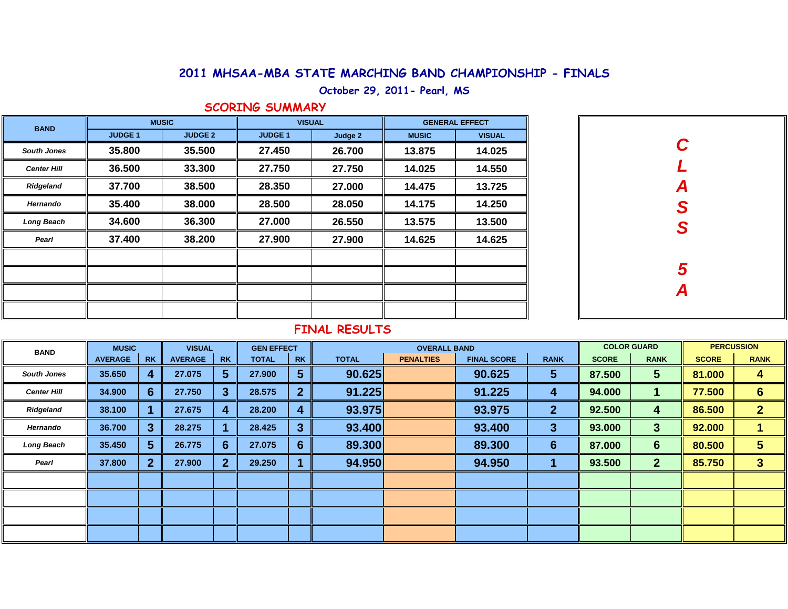### 2011 MHSAA-MBA STATE MARCHING BAND CHAMPIONSHIP - FINALS

**October 29, 2011- Pearl, MS**

#### **SCORING SUMMARY**

| <b>BAND</b>        |               | <b>MUSIC</b>   | <b>VISUAL</b> |         | <b>GENERAL EFFECT</b> |               |  |  |
|--------------------|---------------|----------------|---------------|---------|-----------------------|---------------|--|--|
|                    | <b>JUDGE1</b> | <b>JUDGE 2</b> | <b>JUDGE1</b> | Judge 2 | <b>MUSIC</b>          | <b>VISUAL</b> |  |  |
| <b>South Jones</b> | 35.800        | 35.500         | 27.450        | 26.700  | 13.875                | 14.025        |  |  |
| <b>Center Hill</b> | 36.500        | 33.300         | 27.750        | 27.750  | 14.025                | 14.550        |  |  |
| Ridgeland          | 37.700        | 38.500         | 28.350        | 27.000  | 14.475                | 13.725        |  |  |
| Hernando           | 35.400        | 38.000         | 28.500        | 28.050  | 14.175                | 14.250        |  |  |
| Long Beach         | 34.600        | 36.300         | 27,000        | 26.550  | 13.575                | 13.500        |  |  |
| Pearl              | 37.400        | 38.200         | 27.900        | 27.900  | 14.625                | 14.625        |  |  |
|                    |               |                |               |         |                       |               |  |  |
|                    |               |                |               |         |                       |               |  |  |
|                    |               |                |               |         |                       |               |  |  |
|                    |               |                |               |         |                       |               |  |  |

| C<br>L        |
|---------------|
|               |
|               |
|               |
| A<br>S<br>S   |
|               |
|               |
| $\frac{5}{4}$ |
|               |

#### **FINAL RESULTS**

| <b>BAND</b>        | <b>MUSIC</b>   |                | <b>VISUAL</b>  |           | <b>GEN EFFECT</b> |                  | <b>OVERALL BAND</b> |                  |                    |              | <b>COLOR GUARD</b> |                | <b>PERCUSSION</b> |                 |
|--------------------|----------------|----------------|----------------|-----------|-------------------|------------------|---------------------|------------------|--------------------|--------------|--------------------|----------------|-------------------|-----------------|
|                    | <b>AVERAGE</b> | <b>RK</b>      | <b>AVERAGE</b> | <b>RK</b> | <b>TOTAL</b>      | <b>RK</b>        | <b>TOTAL</b>        | <b>PENALTIES</b> | <b>FINAL SCORE</b> | <b>RANK</b>  | <b>SCORE</b>       | <b>RANK</b>    | <b>SCORE</b>      | <b>RANK</b>     |
| <b>South Jones</b> | 35.650         | 4              | 27.075         | 5         | 27,900            | 5                | 90.625              |                  | 90.625             | 5            | 87.500             | 5              | 81.000            | 4               |
| <b>Center Hill</b> | 34.900         | 6              | 27.750         |           | 28.575            | $\overline{2}$   | 91.225              |                  | 91.225             | 4            | 94.000             |                | 77.500            | $6\phantom{1}6$ |
| Ridgeland          | 38.100         |                | 27.675         |           | 28.200            | $\boldsymbol{4}$ | 93.975              |                  | 93.975             | $\mathbf{2}$ | 92.500             | 4              | 86.500            | $\overline{2}$  |
| Hernando           | 36.700         | 3              | 28.275         |           | 28.425            | $\overline{3}$   | 93.400              |                  | 93.400             | 3            | 93.000             | 3              | 92.000            |                 |
| <b>Long Beach</b>  | 35.450         | 5              | 26.775         | 6.        | 27.075            | 6                | 89.300              |                  | 89.300             | 6            | 87.000             | 6              | 80.500            | 5               |
| Pearl              | 37.800         | 2 <sup>1</sup> | 27.900         |           | 29.250            |                  | 94.950              |                  | 94.950             |              | 93.500             | $\overline{2}$ | 85.750            | 3               |
|                    |                |                |                |           |                   |                  |                     |                  |                    |              |                    |                |                   |                 |
|                    |                |                |                |           |                   |                  |                     |                  |                    |              |                    |                |                   |                 |
|                    |                |                |                |           |                   |                  |                     |                  |                    |              |                    |                |                   |                 |
|                    |                |                |                |           |                   |                  |                     |                  |                    |              |                    |                |                   |                 |